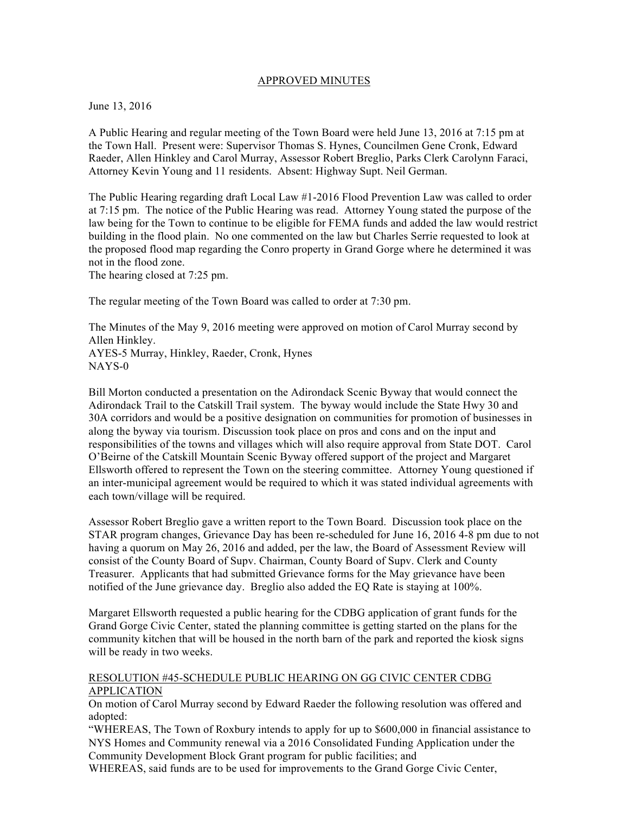## APPROVED MINUTES

June 13, 2016

A Public Hearing and regular meeting of the Town Board were held June 13, 2016 at 7:15 pm at the Town Hall. Present were: Supervisor Thomas S. Hynes, Councilmen Gene Cronk, Edward Raeder, Allen Hinkley and Carol Murray, Assessor Robert Breglio, Parks Clerk Carolynn Faraci, Attorney Kevin Young and 11 residents. Absent: Highway Supt. Neil German.

The Public Hearing regarding draft Local Law #1-2016 Flood Prevention Law was called to order at 7:15 pm. The notice of the Public Hearing was read. Attorney Young stated the purpose of the law being for the Town to continue to be eligible for FEMA funds and added the law would restrict building in the flood plain. No one commented on the law but Charles Serrie requested to look at the proposed flood map regarding the Conro property in Grand Gorge where he determined it was not in the flood zone.

The hearing closed at 7:25 pm.

The regular meeting of the Town Board was called to order at 7:30 pm.

The Minutes of the May 9, 2016 meeting were approved on motion of Carol Murray second by Allen Hinkley. AYES-5 Murray, Hinkley, Raeder, Cronk, Hynes NAYS-0

Bill Morton conducted a presentation on the Adirondack Scenic Byway that would connect the Adirondack Trail to the Catskill Trail system. The byway would include the State Hwy 30 and 30A corridors and would be a positive designation on communities for promotion of businesses in along the byway via tourism. Discussion took place on pros and cons and on the input and responsibilities of the towns and villages which will also require approval from State DOT. Carol O'Beirne of the Catskill Mountain Scenic Byway offered support of the project and Margaret Ellsworth offered to represent the Town on the steering committee. Attorney Young questioned if an inter-municipal agreement would be required to which it was stated individual agreements with each town/village will be required.

Assessor Robert Breglio gave a written report to the Town Board. Discussion took place on the STAR program changes, Grievance Day has been re-scheduled for June 16, 2016 4-8 pm due to not having a quorum on May 26, 2016 and added, per the law, the Board of Assessment Review will consist of the County Board of Supv. Chairman, County Board of Supv. Clerk and County Treasurer. Applicants that had submitted Grievance forms for the May grievance have been notified of the June grievance day. Breglio also added the EQ Rate is staying at 100%.

Margaret Ellsworth requested a public hearing for the CDBG application of grant funds for the Grand Gorge Civic Center, stated the planning committee is getting started on the plans for the community kitchen that will be housed in the north barn of the park and reported the kiosk signs will be ready in two weeks.

## RESOLUTION #45-SCHEDULE PUBLIC HEARING ON GG CIVIC CENTER CDBG APPLICATION

On motion of Carol Murray second by Edward Raeder the following resolution was offered and adopted:

"WHEREAS, The Town of Roxbury intends to apply for up to \$600,000 in financial assistance to NYS Homes and Community renewal via a 2016 Consolidated Funding Application under the Community Development Block Grant program for public facilities; and

WHEREAS, said funds are to be used for improvements to the Grand Gorge Civic Center,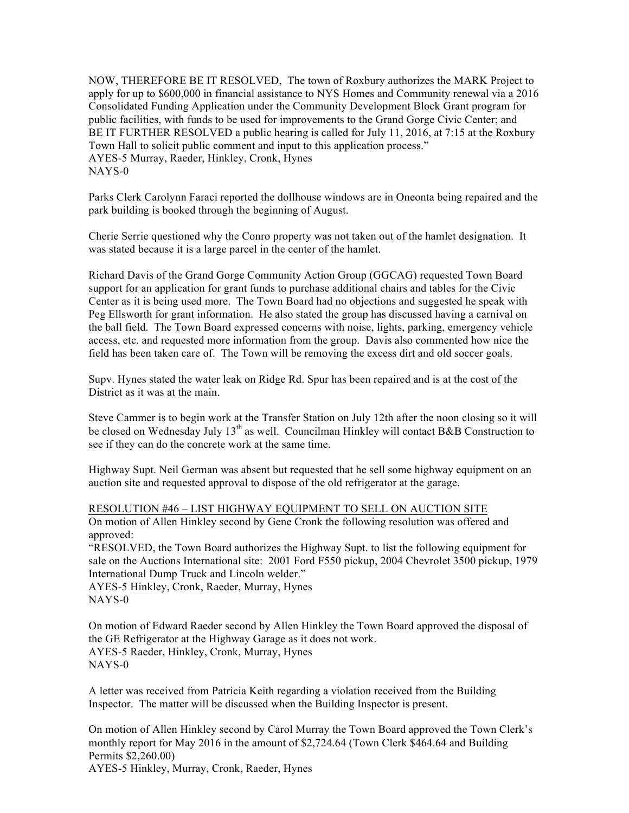NOW, THEREFORE BE IT RESOLVED, The town of Roxbury authorizes the MARK Project to apply for up to \$600,000 in financial assistance to NYS Homes and Community renewal via a 2016 Consolidated Funding Application under the Community Development Block Grant program for public facilities, with funds to be used for improvements to the Grand Gorge Civic Center; and BE IT FURTHER RESOLVED a public hearing is called for July 11, 2016, at 7:15 at the Roxbury Town Hall to solicit public comment and input to this application process." AYES-5 Murray, Raeder, Hinkley, Cronk, Hynes NAYS-0

Parks Clerk Carolynn Faraci reported the dollhouse windows are in Oneonta being repaired and the park building is booked through the beginning of August.

Cherie Serrie questioned why the Conro property was not taken out of the hamlet designation. It was stated because it is a large parcel in the center of the hamlet.

Richard Davis of the Grand Gorge Community Action Group (GGCAG) requested Town Board support for an application for grant funds to purchase additional chairs and tables for the Civic Center as it is being used more. The Town Board had no objections and suggested he speak with Peg Ellsworth for grant information. He also stated the group has discussed having a carnival on the ball field. The Town Board expressed concerns with noise, lights, parking, emergency vehicle access, etc. and requested more information from the group. Davis also commented how nice the field has been taken care of. The Town will be removing the excess dirt and old soccer goals.

Supv. Hynes stated the water leak on Ridge Rd. Spur has been repaired and is at the cost of the District as it was at the main.

Steve Cammer is to begin work at the Transfer Station on July 12th after the noon closing so it will be closed on Wednesday July 13<sup>th</sup> as well. Councilman Hinkley will contact B&B Construction to see if they can do the concrete work at the same time.

Highway Supt. Neil German was absent but requested that he sell some highway equipment on an auction site and requested approval to dispose of the old refrigerator at the garage.

RESOLUTION #46 – LIST HIGHWAY EQUIPMENT TO SELL ON AUCTION SITE On motion of Allen Hinkley second by Gene Cronk the following resolution was offered and approved:

"RESOLVED, the Town Board authorizes the Highway Supt. to list the following equipment for sale on the Auctions International site: 2001 Ford F550 pickup, 2004 Chevrolet 3500 pickup, 1979 International Dump Truck and Lincoln welder."

AYES-5 Hinkley, Cronk, Raeder, Murray, Hynes NAYS-0

On motion of Edward Raeder second by Allen Hinkley the Town Board approved the disposal of the GE Refrigerator at the Highway Garage as it does not work. AYES-5 Raeder, Hinkley, Cronk, Murray, Hynes NAYS-0

A letter was received from Patricia Keith regarding a violation received from the Building Inspector. The matter will be discussed when the Building Inspector is present.

On motion of Allen Hinkley second by Carol Murray the Town Board approved the Town Clerk's monthly report for May 2016 in the amount of \$2,724.64 (Town Clerk \$464.64 and Building Permits \$2,260.00) AYES-5 Hinkley, Murray, Cronk, Raeder, Hynes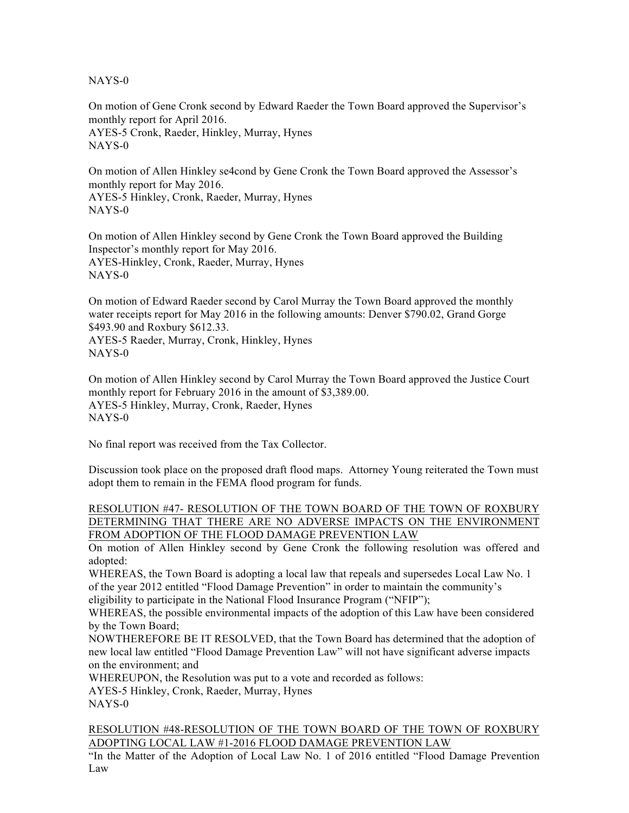NAYS-0

On motion of Gene Cronk second by Edward Raeder the Town Board approved the Supervisor's monthly report for April 2016. AYES-5 Cronk, Raeder, Hinkley, Murray, Hynes NAYS-0

On motion of Allen Hinkley se4cond by Gene Cronk the Town Board approved the Assessor's monthly report for May 2016. AYES-5 Hinkley, Cronk, Raeder, Murray, Hynes NAYS-0

On motion of Allen Hinkley second by Gene Cronk the Town Board approved the Building Inspector's monthly report for May 2016. AYES-Hinkley, Cronk, Raeder, Murray, Hynes NAYS-0

On motion of Edward Raeder second by Carol Murray the Town Board approved the monthly water receipts report for May 2016 in the following amounts: Denver \$790.02, Grand Gorge \$493.90 and Roxbury \$612.33. AYES-5 Raeder, Murray, Cronk, Hinkley, Hynes NAYS-0

On motion of Allen Hinkley second by Carol Murray the Town Board approved the Justice Court monthly report for February 2016 in the amount of \$3,389.00. AYES-5 Hinkley, Murray, Cronk, Raeder, Hynes NAYS-0

No final report was received from the Tax Collector.

Discussion took place on the proposed draft flood maps. Attorney Young reiterated the Town must adopt them to remain in the FEMA flood program for funds.

RESOLUTION #47- RESOLUTION OF THE TOWN BOARD OF THE TOWN OF ROXBURY DETERMINING THAT THERE ARE NO ADVERSE IMPACTS ON THE ENVIRONMENT FROM ADOPTION OF THE FLOOD DAMAGE PREVENTION LAW

On motion of Allen Hinkley second by Gene Cronk the following resolution was offered and adopted:

WHEREAS, the Town Board is adopting a local law that repeals and supersedes Local Law No. 1 of the year 2012 entitled "Flood Damage Prevention" in order to maintain the community's

eligibility to participate in the National Flood Insurance Program ("NFIP");

WHEREAS, the possible environmental impacts of the adoption of this Law have been considered by the Town Board;

NOWTHEREFORE BE IT RESOLVED, that the Town Board has determined that the adoption of new local law entitled "Flood Damage Prevention Law" will not have significant adverse impacts on the environment; and

WHEREUPON, the Resolution was put to a vote and recorded as follows:

AYES-5 Hinkley, Cronk, Raeder, Murray, Hynes

NAYS-0

RESOLUTION #48-RESOLUTION OF THE TOWN BOARD OF THE TOWN OF ROXBURY ADOPTING LOCAL LAW #1-2016 FLOOD DAMAGE PREVENTION LAW

"In the Matter of the Adoption of Local Law No. 1 of 2016 entitled "Flood Damage Prevention Law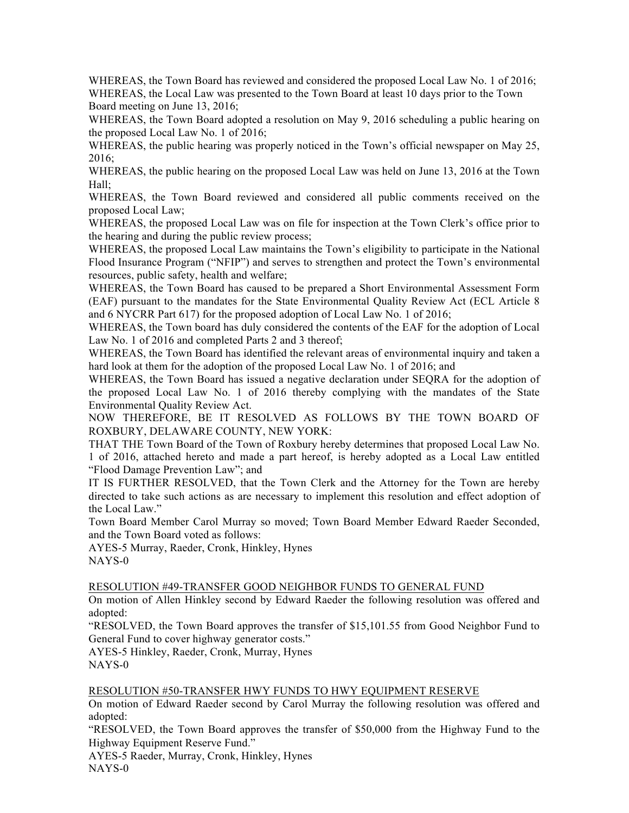WHEREAS, the Town Board has reviewed and considered the proposed Local Law No. 1 of 2016; WHEREAS, the Local Law was presented to the Town Board at least 10 days prior to the Town Board meeting on June 13, 2016;

WHEREAS, the Town Board adopted a resolution on May 9, 2016 scheduling a public hearing on the proposed Local Law No. 1 of 2016;

WHEREAS, the public hearing was properly noticed in the Town's official newspaper on May 25, 2016;

WHEREAS, the public hearing on the proposed Local Law was held on June 13, 2016 at the Town Hall;

WHEREAS, the Town Board reviewed and considered all public comments received on the proposed Local Law;

WHEREAS, the proposed Local Law was on file for inspection at the Town Clerk's office prior to the hearing and during the public review process;

WHEREAS, the proposed Local Law maintains the Town's eligibility to participate in the National Flood Insurance Program ("NFIP") and serves to strengthen and protect the Town's environmental resources, public safety, health and welfare;

WHEREAS, the Town Board has caused to be prepared a Short Environmental Assessment Form (EAF) pursuant to the mandates for the State Environmental Quality Review Act (ECL Article 8 and 6 NYCRR Part 617) for the proposed adoption of Local Law No. 1 of 2016;

WHEREAS, the Town board has duly considered the contents of the EAF for the adoption of Local Law No. 1 of 2016 and completed Parts 2 and 3 thereof;

WHEREAS, the Town Board has identified the relevant areas of environmental inquiry and taken a hard look at them for the adoption of the proposed Local Law No. 1 of 2016; and

WHEREAS, the Town Board has issued a negative declaration under SEQRA for the adoption of the proposed Local Law No. 1 of 2016 thereby complying with the mandates of the State Environmental Quality Review Act.

NOW THEREFORE, BE IT RESOLVED AS FOLLOWS BY THE TOWN BOARD OF ROXBURY, DELAWARE COUNTY, NEW YORK:

THAT THE Town Board of the Town of Roxbury hereby determines that proposed Local Law No. 1 of 2016, attached hereto and made a part hereof, is hereby adopted as a Local Law entitled "Flood Damage Prevention Law"; and

IT IS FURTHER RESOLVED, that the Town Clerk and the Attorney for the Town are hereby directed to take such actions as are necessary to implement this resolution and effect adoption of the Local Law."

Town Board Member Carol Murray so moved; Town Board Member Edward Raeder Seconded, and the Town Board voted as follows:

AYES-5 Murray, Raeder, Cronk, Hinkley, Hynes NAYS-0

## RESOLUTION #49-TRANSFER GOOD NEIGHBOR FUNDS TO GENERAL FUND

On motion of Allen Hinkley second by Edward Raeder the following resolution was offered and adopted:

"RESOLVED, the Town Board approves the transfer of \$15,101.55 from Good Neighbor Fund to General Fund to cover highway generator costs."

AYES-5 Hinkley, Raeder, Cronk, Murray, Hynes NAYS-0

## RESOLUTION #50-TRANSFER HWY FUNDS TO HWY EQUIPMENT RESERVE

On motion of Edward Raeder second by Carol Murray the following resolution was offered and adopted:

"RESOLVED, the Town Board approves the transfer of \$50,000 from the Highway Fund to the Highway Equipment Reserve Fund."

AYES-5 Raeder, Murray, Cronk, Hinkley, Hynes

NAYS-0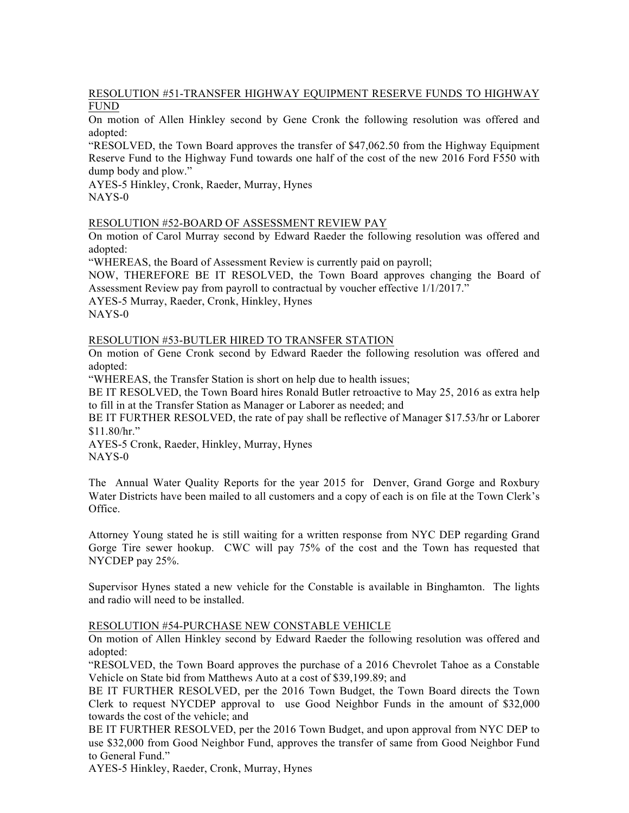# RESOLUTION #51-TRANSFER HIGHWAY EQUIPMENT RESERVE FUNDS TO HIGHWAY FUND

On motion of Allen Hinkley second by Gene Cronk the following resolution was offered and adopted:

"RESOLVED, the Town Board approves the transfer of \$47,062.50 from the Highway Equipment Reserve Fund to the Highway Fund towards one half of the cost of the new 2016 Ford F550 with dump body and plow."

AYES-5 Hinkley, Cronk, Raeder, Murray, Hynes NAYS-0

#### RESOLUTION #52-BOARD OF ASSESSMENT REVIEW PAY

On motion of Carol Murray second by Edward Raeder the following resolution was offered and adopted:

"WHEREAS, the Board of Assessment Review is currently paid on payroll;

NOW, THEREFORE BE IT RESOLVED, the Town Board approves changing the Board of Assessment Review pay from payroll to contractual by voucher effective 1/1/2017."

AYES-5 Murray, Raeder, Cronk, Hinkley, Hynes

NAYS-0

RESOLUTION #53-BUTLER HIRED TO TRANSFER STATION

On motion of Gene Cronk second by Edward Raeder the following resolution was offered and adopted:

"WHEREAS, the Transfer Station is short on help due to health issues;

BE IT RESOLVED, the Town Board hires Ronald Butler retroactive to May 25, 2016 as extra help to fill in at the Transfer Station as Manager or Laborer as needed; and

BE IT FURTHER RESOLVED, the rate of pay shall be reflective of Manager \$17.53/hr or Laborer \$11.80/hr."

AYES-5 Cronk, Raeder, Hinkley, Murray, Hynes NAYS-0

The Annual Water Quality Reports for the year 2015 for Denver, Grand Gorge and Roxbury Water Districts have been mailed to all customers and a copy of each is on file at the Town Clerk's Office.

Attorney Young stated he is still waiting for a written response from NYC DEP regarding Grand Gorge Tire sewer hookup. CWC will pay 75% of the cost and the Town has requested that NYCDEP pay 25%.

Supervisor Hynes stated a new vehicle for the Constable is available in Binghamton. The lights and radio will need to be installed.

#### RESOLUTION #54-PURCHASE NEW CONSTABLE VEHICLE

On motion of Allen Hinkley second by Edward Raeder the following resolution was offered and adopted:

"RESOLVED, the Town Board approves the purchase of a 2016 Chevrolet Tahoe as a Constable Vehicle on State bid from Matthews Auto at a cost of \$39,199.89; and

BE IT FURTHER RESOLVED, per the 2016 Town Budget, the Town Board directs the Town Clerk to request NYCDEP approval to use Good Neighbor Funds in the amount of \$32,000 towards the cost of the vehicle; and

BE IT FURTHER RESOLVED, per the 2016 Town Budget, and upon approval from NYC DEP to use \$32,000 from Good Neighbor Fund, approves the transfer of same from Good Neighbor Fund to General Fund."

AYES-5 Hinkley, Raeder, Cronk, Murray, Hynes